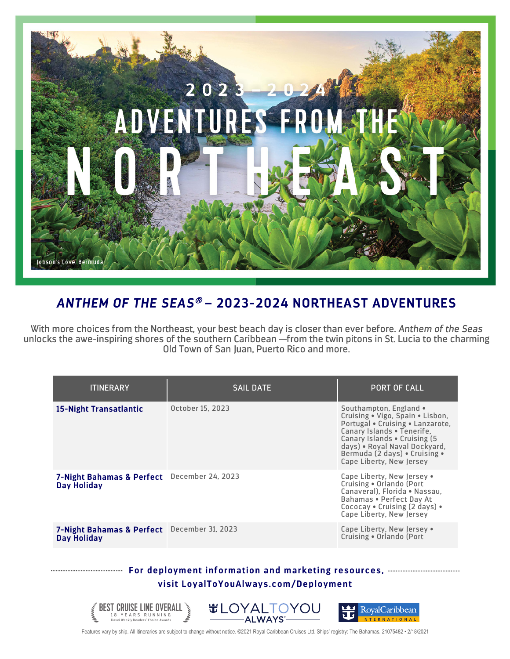

## *ANTHEM OF THE SEAS*<sup>â</sup> **– 2023-2024 NORTHEAST ADVENTURES**

With more choices from the Northeast, your best beach day is closer than ever before. *Anthem of the Seas* unlocks the awe-inspiring shores of the southern Caribbean —from the twin pitons in St. Lucia to the charming Old Town of San Juan, Puerto Rico and more.

| <b>ITINERARY</b>                                                  | <b>SAIL DATE</b> | <b>PORT OF CALL</b>                                                                                                                                                                                                                                         |
|-------------------------------------------------------------------|------------------|-------------------------------------------------------------------------------------------------------------------------------------------------------------------------------------------------------------------------------------------------------------|
| <b>15-Night Transatlantic</b>                                     | October 15, 2023 | Southampton, England •<br>Cruising . Vigo, Spain . Lisbon,<br>Portugal . Cruising . Lanzarote,<br>Canary Islands . Tenerife,<br>Canary Islands . Cruising (5)<br>days) . Royal Naval Dockyard,<br>Bermuda (2 days) . Cruising .<br>Cape Liberty, New Jersey |
| 7-Night Bahamas & Perfect December 24, 2023<br><b>Day Holiday</b> |                  | Cape Liberty, New Jersey .<br>Cruising . Orlando (Port<br>Canaveral). Florida . Nassau.<br>Bahamas . Perfect Day At<br>Cococay . Cruising (2 days) .<br>Cape Liberty, New Jersey                                                                            |
| 7-Night Bahamas & Perfect December 31, 2023<br><b>Day Holiday</b> |                  | Cape Liberty, New Jersey .<br>Cruising . Orlando (Port                                                                                                                                                                                                      |
|                                                                   |                  |                                                                                                                                                                                                                                                             |

## **For deployment information and marketing resources, visit LoyalToYouAlways.com/Deployment**



Features vary by ship. All itineraries are subject to change without notice. ©2021 Royal Caribbean Cruises Ltd. Ships' registry: The Bahamas. 21075482 • 2/18/2021